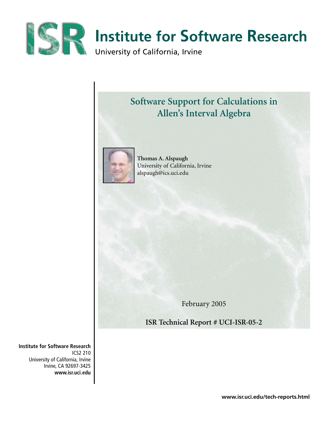

# **Software Support for Calculations in Allen's Interval Algebra**



**Thomas A. Alspaugh** University of California, Irvine alspaugh@ics.uci.edu

February 2005

**ISR Technical Report # UCI-ISR-05-2**

**Institute for Software Research** ICS2 210 University of California, Irvine Irvine, CA 92697-3425 **www.isr.uci.edu**

**www.isr.uci.edu/tech-reports.html**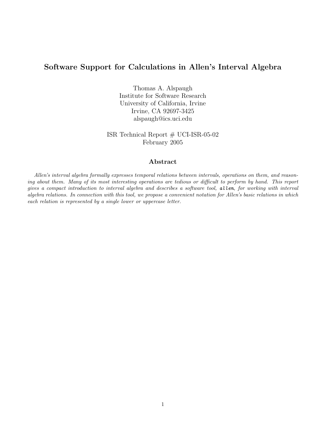# Software Support for Calculations in Allen's Interval Algebra

Thomas A. Alspaugh Institute for Software Research University of California, Irvine Irvine, CA 92697-3425 alspaugh@ics.uci.edu

ISR Technical Report # UCI-ISR-05-02 February 2005

# Abstract

Allen's interval algebra formally expresses temporal relations between intervals, operations on them, and reasoning about them. Many of its most interesting operations are tedious or difficult to perform by hand. This report gives a compact introduction to interval algebra and describes a software tool, allen, for working with interval algebra relations. In connection with this tool, we propose a convenient notation for Allen's basic relations in which each relation is represented by a single lower or uppercase letter.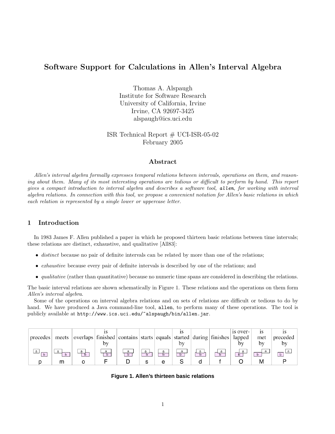# Software Support for Calculations in Allen's Interval Algebra

Thomas A. Alspaugh Institute for Software Research University of California, Irvine Irvine, CA 92697-3425 alspaugh@ics.uci.edu

ISR Technical Report  $#$  UCI-ISR-05-02 February 2005

# Abstract

Allen's interval algebra formally expresses temporal relations between intervals, operations on them, and reasoning about them. Many of its most interesting operations are tedious or difficult to perform by hand. This report gives a compact introduction to interval algebra and describes a software tool, allen, for working with interval algebra relations. In connection with this tool, we propose a convenient notation for Allen's basic relations in which each relation is represented by a single lower or uppercase letter.

# 1 Introduction

In 1983 James F. Allen published a paper in which he proposed thirteen basic relations between time intervals; these relations are distinct, exhaustive, and qualitative [All83]:

- distinct because no pair of definite intervals can be related by more than one of the relations;
- *exhaustive* because every pair of definite intervals is described by one of the relations; and
- qualitative (rather than quantitative) because no numeric time spans are considered in describing the relations.

The basic interval relations are shown schematically in Figure 1. These relations and the operations on them form Allen's interval algebra.

Some of the operations on interval algebra relations and on sets of relations are difficult or tedious to do by hand. We have produced a Java command-line tool, allen, to perform many of these operations. The tool is publicly available at http://www.ics.uci.edu/~alspaugh/bin/allen.jar.

| precedes | meets | overlaps   finished   contains   starts   equals   started   during   finishes   lapped |        |  | bv     |  | is over- | met | preceded |
|----------|-------|-----------------------------------------------------------------------------------------|--------|--|--------|--|----------|-----|----------|
|          | m     |                                                                                         | a<br>b |  | a<br>b |  |          |     |          |

**Figure 1. Allen's thirteen basic relations**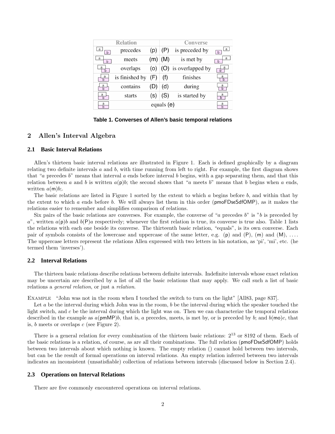|        | <b>Relation</b> |     | Converse   |                      |                 |  |  |
|--------|-----------------|-----|------------|----------------------|-----------------|--|--|
| a<br>b | precedes        | (D) | (P)        | is preceded by       | a<br>$\cdot$ b. |  |  |
| a<br>b | meets           | (m) | (M)        | is met by            | a<br>h          |  |  |
| a      | overlaps        | (O) |            | (O) is overlapped by | a               |  |  |
| a<br>h | is finished by  | (F) | (f)        | finishes             | a<br>b          |  |  |
| a<br>h | contains        |     | (d)        | during               | a<br>h          |  |  |
| a<br>h | starts          | S)  | (S)        | is started by        | a               |  |  |
| a<br>h |                 |     | equals (e) |                      | a<br>h          |  |  |

**Table 1. Converses of Allen's basic temporal relations**

# 2 Allen's Interval Algebra

#### **2.1 Basic Interval Relations**

Allen's thirteen basic interval relations are illustrated in Figure 1. Each is defined graphically by a diagram relating two definite intervals  $a$  and  $b$ , with time running from left to right. For example, the first diagram shows that "a precedes b" means that interval a ends before interval b begins, with a gap separating them, and that this relation between a and b is written  $a(p)b$ ; the second shows that "a meets b" means that b begins when a ends, written  $a(m)b$ .

The basic relations are listed in Figure 1 sorted by the extent to which a begins before b, and within that by the extent to which a ends before b. We will always list them in this order ( $\mathsf{pmoFDseSdfOMP}$ ), as it makes the relations easier to remember and simplifies comparison of relations.

Six pairs of the basic relations are converses. For example, the converse of "a precedes  $b$ " is "b is preceded by  $a^{\prime\prime}$ , written  $a(\mathsf{p})b$  and  $b(\mathsf{P})a$  respectively; whenever the first relation is true, its converse is true also. Table 1 lists the relations with each one beside its converse. The thirteenth basic relation, "equals", is its own converse. Each pair of symbols consists of the lowercase and uppercase of the same letter, e.g. (p) and  $(P)$ ,  $(m)$  and  $(M)$ , ... The uppercase letters represent the relations Allen expressed with two letters in his notation, as 'pi', 'mi', etc. (he termed them 'inverses').

## **2.2 Interval Relations**

The thirteen basic relations describe relations between definite intervals. Indefinite intervals whose exact relation may be uncertain are described by a list of all the basic relations that may apply. We call such a list of basic relations a general relation, or just a relation.

Example "John was not in the room when I touched the switch to turn on the light" [All83, page 837].

Let a be the interval during which John was in the room, b be the interval during which the speaker touched the light switch, and c be the interval during which the light was on. Then we can characterize the temporal relations described in the example as  $a(pmMP)b$ , that is, a precedes, meets, is met by, or is preceded by b; and  $b(mo)c$ , that is,  $b$  meets or overlaps  $c$  (see Figure 2).

There is a general relation for every combination of the thirteen basic relations:  $2^{13}$  or 8192 of them. Each of the basic relations is a relation, of course, as are all their combinations. The full relation (pmoFDseSdfOMP) holds between two intervals about which nothing is known. The empty relation () cannot hold between two intervals, but can be the result of formal operations on interval relations. An empty relation inferred between two intervals indicates an inconsistent (unsatisfiable) collection of relations between intervals (discussed below in Section 2.4).

#### **2.3 Operations on Interval Relations**

There are five commonly encountered operations on interval relations.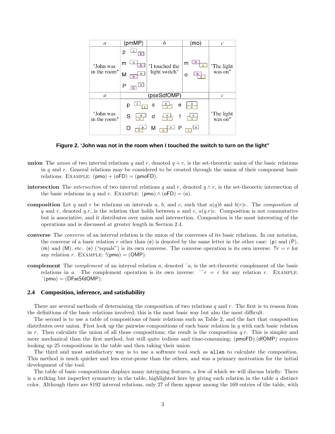

**Figure 2. 'John was not in the room when I touched the switch to turn on the light"**

- union The union of two interval relations q and r, denoted  $q + r$ , is the set-theoretic union of the basic relations in q and r. General relations may be considered to be created through the union of their component basic relations. EXAMPLE:  $(pmo) + (oFD) = (pmoFD)$ .
- **intersection** The *intersection* of two interval relations q and r, denoted  $q \wedge r$ , is the set-theoretic intersection of the basic relations in q and r. EXAMPLE: (pmo)  $\wedge$  (oFD) = (o).
- composition Let q and r be relations on intervals a, b, and c, such that  $a(q)b$  and  $b(r)c$ . The composition of q and r, denoted q.r, is the relation that holds between a and c,  $a(q,r)c$ . Composition is not commutative but is associative, and it distributes over union and intersection. Composition is the most interesting of the operations and is discussed at greater length in Section 2.4.
- converse The converse of an interval relation is the union of the converses of its basic relations. In our notation, the converse of a basic relation r other than (e) is denoted by the same letter in the other case: (p) and (P), (m) and (M), etc. (e) ("equals") is its own converse. The converse operation is its own inverse:  $!!r = r$  for any relation r. EXAMPLE:  $!(\text{pmo}) = (\text{OMP})$ .
- complement The *complement* of an interval relation a, denoted  $\tilde{a}$ , is the set-theoretic complement of the basic relations in a. The complement operation is its own inverse:  $\tilde{r} = r$  for any relation r. EXAMPLE:  $\tilde{\rho}$ (pmo) = (DFseSfdOMP).

#### **2.4 Composition, inference, and satisfiability**

There are several methods of determining the composition of two relations  $q$  and  $r$ . The first is to reason from the definitions of the basic relations involved; this is the most basic way but also the most difficult.

The second is to use a table of compositions of basic relations such as Table 2, and the fact that composition distributes over union. First look up the pairwise compositions of each basic relation in  $q$  with each basic relation in r. Then calculate the union of all those compositions; the result is the composition  $q.r.$  This is simpler and more mechanical than the first method, but still quite tedious and time-consuming; (pmoFD).(dfOMP) requires looking up 25 compositions in the table and then taking their union.

The third and most satisfactory way is to use a software tool such as allen to calculate the composition. This method is much quicker and less error-prone than the others, and was a primary motivation for the initial development of the tool.

The table of basic compositions displays many intriguing features, a few of which we will discuss briefly. There is a striking but imperfect symmetry in the table, highlighted here by giving each relation in the table a distinct color. Although there are 8192 interval relations, only 27 of them appear among the 169 entries of the table, with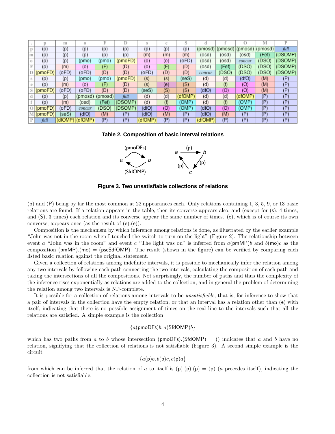|   |         | m       | $\Omega$ |         | D       |         | e              |         |         |         |         | M       |         |
|---|---------|---------|----------|---------|---------|---------|----------------|---------|---------|---------|---------|---------|---------|
|   | (p)     | (p)     | (p)      | (p)     | (p)     | (p)     | (p)            | (p)     | (pmosd) | (pmosd) | (pmosd) | (pmosd) | full    |
| m | (p)     | (p)     | (p)      | (p)     | (p)     | (m)     | (m)            | (m)     | (osd)   | (osd)   | (osd)   | (Fef)   | (DSOMP) |
|   | (p)     | (p)     | (pmo)    | (pmo)   | (pmoFD) | (0)     | (o)            | (oFD)   | (osd)   | (osd)   | concur  | (DSO)   | (DSOMP) |
|   | (p)     | (m)     | (0)      | F       | (D)     | (0)     | Œ              | (D)     | (osd)   | (Fef)   | (DSO)   | (DSO)   | (DSOMP) |
|   | (moFD)  | (oFD)   | (oFD)    | (D)     | (D)     | (oFD)   | (D)            | (D)     | concur  | (DSO)   | (DSO)   | (DSO)   | (DSOMP) |
|   | (p)     | (p)     | (pmo)    | (pmo    | (pmoFD) | (s)     | $(\mathsf{s})$ | (seS)   | (d)     | (d)     | (dfO)   | (M)     | (P)     |
|   | (p)     | (m)     | (0)      | (F)     | (D)     | (s)     | (e)            | (S)     | (d)     | (f)     | (O)     | (M)     | (P)     |
|   | (pmoFD) | (oFD)   | (oFD)    | (D)     | (D)     | (seS)   | (S)            | (S)     | (dfO)   | (O)     | (O)     | (M)     | (P)     |
|   | (p)     | (p)     | (pmosd)  | (pmosd) | full    | (d)     | (d)            | (dfOMP) | (d)     | (d)     | (dfOMP) | (P)     | (P)     |
|   | (p)     | (m)     | (osd)    | (Fef)   | (DSOMP) | (d)     | (f)            | (OMP)   | (d)     | (f)     | (OMP)   | (P)     | (P)     |
|   | (pmoFD) | (oFD)   | concur   | (DSO)   | (DSOMP) | (dfO)   | (O)            | (OMP)   | (dfO)   | (O)     | (OMP)   | (P)     | (P)     |
|   | (pmoFD) | (seS)   | (dfO)    | (M)     | P)      | (dfO)   | (M)            | (P)     | (dfO)   | (M)     | (P      | (P)     | (P)     |
| D | full    | (dfOMP) | (dfOMP)  | (P      | P)      | (dfOMP) | (P             | (P)     | (dfOMP) | (P)     | (P      | (P)     | (P)     |

**Table 2. Composition of basic interval relations**



**Figure 3. Two unsatisfiable collections of relations**

(p) and (P) being by far the most common at 22 appearances each. Only relations containing 1, 3, 5, 9, or 13 basic relations are found. If a relation appears in the table, then its converse appears also, and (except for (s), 4 times, and (S), 3 times) each relation and its converse appear the same number of times. (e), which is of course its own converse, appears once (as the result of  $(e)(e)$ ).

Composition is the mechanism by which inference among relations is done, as illustrated by the earlier example "John was not in the room when I touched the switch to turn on the light" (Figure 2). The relationship between event a "John was in the room" and event c "The light was on" is inferred from  $a(pmMP)b$  and  $b(mo)c$  as the composition  $(pmMP)$ .(mo) = (pseSdfOMP). The result (shown in the figure) can be verified by comparing each listed basic relation against the original statement.

Given a collection of relations among indefinite intervals, it is possible to mechanically infer the relation among any two intervals by following each path connecting the two intervals, calculating the composition of each path and taking the intersections of all the compositions. Not surprisingly, the number of paths and thus the complexity of the inference rises exponentially as relations are added to the collection, and in general the problem of determining the relation among two intervals is NP-complete.

It is possible for a collection of relations among intervals to be unsatisfiable, that is, for inference to show that a pair of intervals in the collection have the empty relation, or that an interval has a relation other than (e) with itself, indicating that there is no possible assignment of times on the real line to the intervals such that all the relations are satisfied. A simple example is the collection

# ${a($ pmoDFs $)b, a(SfdOMP)b\}$

which has two paths from a to b whose intersection (pmoDFs).(SfdOMP) = () indicates that a and b have no relation, signifying that the collection of relations is not satisfiable (Figure 3). A second simple example is the circuit

 ${a(p)b, b(p)c, c(p)a}$ 

from which can be inferred that the relation of a to itself is  $(p)(p)(p) = (p)$  (a precedes itself), indicating the collection is not satisfiable.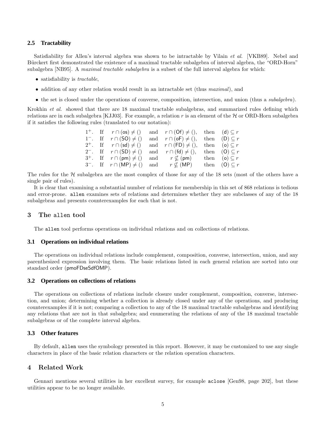#### **2.5 Tractability**

Satisfiability for Allen's interval algebra was shown to be intractable by Vilain *et al.* [VKB89]. Nebel and Bürckert first demonstrated the existence of a maximal tractable subalgebra of interval algebra, the "ORD-Horn" subalgebra [NB95]. A maximal tractable subalgebra is a subset of the full interval algebra for which:

- satisfiability is *tractable*,
- addition of any other relation would result in an intractable set (thus *maximal*), and
- the set is closed under the operations of converse, composition, intersection, and union (thus a *subalgebra*).

Krokhin et al. showed that there are 18 maximal tractable subalgebras, and summarized rules defining which relations are in each subalgebra [KJJ03]. For example, a relation r is an element of the  $H$  or ORD-Horn subalgebra if it satisfies the following rules (translated to our notation):

|  |                                                          | 1 <sup>+</sup> . If $r \cap (\infty) \neq ()$ and $r \cap (\text{Of}) \neq ()$ , then $(d) \subseteq r$ |                        |
|--|----------------------------------------------------------|---------------------------------------------------------------------------------------------------------|------------------------|
|  | 1 <sup>-</sup> . If $r \cap (SO) \neq ()$                | and $r \cap (\textbf{oF}) \neq ()$ ,                                                                    | then $(D) \subseteq r$ |
|  | $2^+$ . If $r \cap (sd) \neq ()$                         | and $r \cap (FD) \neq ()$ ,                                                                             | then (o) $\subseteq r$ |
|  | 2 <sup>-</sup> . If $r \cap (SD) \neq ()$                | and $r \cap (fd) \neq ()$ ,                                                                             | then $(0) \subseteq r$ |
|  | $3^+$ . If $r \cap (pm) \neq ()$ and $r \nsubseteq (pm)$ |                                                                                                         | then (o) $\subseteq r$ |
|  |                                                          | 3 <sup>-</sup> . If $r \cap (MP) \neq ()$ and $r \nsubseteq (MP)$ then $(0) \subseteq r$                |                        |

The rules for the  $H$  subalgebra are the most complex of those for any of the 18 sets (most of the others have a single pair of rules).

It is clear that examining a substantial number of relations for membership in this set of 868 relations is tedious and error-prone. allen examines sets of relations and determines whether they are subclasses of any of the 18 subalgebras and presents counterexamples for each that is not.

#### 3 The allen tool

The allen tool performs operations on individual relations and on collections of relations.

#### **3.1 Operations on individual relations**

The operations on individual relations include complement, composition, converse, intersection, union, and any parenthesized expression involving them. The basic relations listed in each general relation are sorted into our standard order (pmoFDseSdfOMP).

#### **3.2 Operations on collections of relations**

The operations on collections of relations include closure under complement, composition, converse, intersection, and union; determining whether a collection is already closed under any of the operations, and producing counterexamples if it is not; comparing a collection to any of the 18 maximal tractable subalgebras and identifying any relations that are not in that subalgebra; and enumerating the relations of any of the 18 maximal tractable subalgebras or of the complete interval algebra.

#### **3.3 Other features**

By default, allen uses the symbology presented in this report. However, it may be customized to use any single characters in place of the basic relation characters or the relation operation characters.

## 4 Related Work

Gennari mentions several utilities in her excellent survey, for example aclose [Gen98, page 202], but these utilities appear to be no longer available.